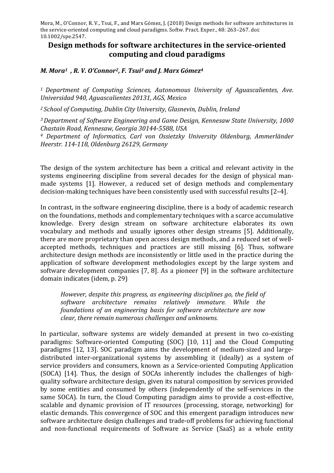## **Design methods for software architectures in the service-oriented computing and cloud paradigms**

## *M. Mora<sup>1</sup>*, *R. V. O'Connor<sup>2</sup>, F. Tsui<sup>3</sup> and J. Marx Gómez<sup>4</sup>*

<sup>1</sup> Department of Computing Sciences, Autonomous University of Aguascalientes, Ave. *Universidad 940, Aguascalientes 20131, AGS, Mexico*

<sup>2</sup> *School of Computing, Dublin City University, Glasnevin, Dublin, Ireland* 

<sup>3</sup> Department of Software Engineering and Game Design, Kennesaw State University, 1000 *Chastain Road, Kennesaw, Georgia 30144-5588, USA*

<sup>4</sup> Department of Informatics, Carl von Ossietzky University Oldenburg, Ammerländer *Heerstr. 114-118, Oldenburg 26129, Germany*

The design of the system architecture has been a critical and relevant activity in the systems engineering discipline from several decades for the design of physical manmade systems [1]. However, a reduced set of design methods and complementary decision-making techniques have been consistently used with successful results  $[2-4]$ .

In contrast, in the software engineering discipline, there is a body of academic research on the foundations, methods and complementary techniques with a scarce accumulative knowledge. Every design stream on software architecture elaborates its own vocabulary and methods and usually ignores other design streams [5]. Additionally, there are more proprietary than open access design methods, and a reduced set of wellaccepted methods, techniques and practices are still missing [6]. Thus, software architecture design methods are inconsistently or little used in the practice during the application of software development methodologies except by the large system and software development companies  $[7, 8]$ . As a pioneer  $[9]$  in the software architecture domain indicates (idem, p. 29)

*However, despite this progress, as engineering disciplines go, the field of software architecture remains relatively immature. While the foundations of an engineering basis for software architecture are now clear, there remain numerous challenges and unknowns.* 

In particular, software systems are widely demanded at present in two co-existing paradigms: Software-oriented Computing (SOC) [10, 11] and the Cloud Computing paradigms [12, 13]. SOC paradigm aims the development of medium-sized and largedistributed inter-organizational systems by assembling it (ideally) as a system of service providers and consumers, known as a Service-oriented Computing Application (SOCA) [14]. Thus, the design of SOCAs inherently includes the challenges of highquality software architecture design, given its natural composition by services provided by some entities and consumed by others (independently of the self-services in the same SOCA). In turn, the Cloud Computing paradigm aims to provide a cost-effective, scalable and dynamic provision of IT resources (processing, storage, networking) for elastic demands. This convergence of SOC and this emergent paradigm introduces new software architecture design challenges and trade-off problems for achieving functional and non-functional requirements of Software as Service (SaaS) as a whole entity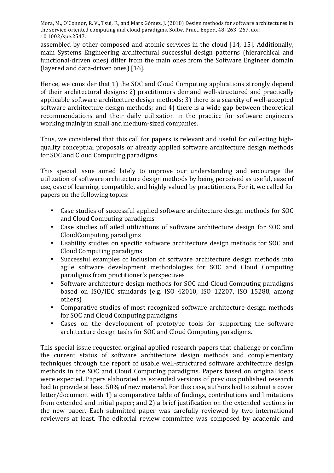assembled by other composed and atomic services in the cloud [14, 15]. Additionally, main Systems Engineering architectural successful design patterns (hierarchical and functional-driven ones) differ from the main ones from the Software Engineer domain (layered and data-driven ones) [16].

Hence, we consider that 1) the SOC and Cloud Computing applications strongly depend of their architectural designs; 2) practitioners demand well-structured and practically applicable software architecture design methods; 3) there is a scarcity of well-accepted software architecture design methods; and 4) there is a wide gap between theoretical recommendations and their daily utilization in the practice for software engineers working mainly in small and medium-sized companies.

Thus, we considered that this call for papers is relevant and useful for collecting highquality conceptual proposals or already applied software architecture design methods for SOC and Cloud Computing paradigms.

This special issue aimed lately to improve our understanding and encourage the utilization of software architecture design methods by being perceived as useful, ease of use, ease of learning, compatible, and highly valued by practitioners. For it, we called for papers on the following topics:

- Case studies of successful applied software architecture design methods for SOC and Cloud Computing paradigms
- Case studies off ailed utilizations of software architecture design for SOC and CloudComputing paradigms
- Usability studies on specific software architecture design methods for SOC and Cloud Computing paradigms
- Successful examples of inclusion of software architecture design methods into agile software development methodologies for SOC and Cloud Computing paradigms from practitioner's perspectives
- Software architecture design methods for SOC and Cloud Computing paradigms based on ISO/IEC standards (e.g. ISO 42010, ISO 12207, ISO 15288, among others)
- Comparative studies of most recognized software architecture design methods for SOC and Cloud Computing paradigms
- Cases on the development of prototype tools for supporting the software architecture design tasks for SOC and Cloud Computing paradigms.

This special issue requested original applied research papers that challenge or confirm the current status of software architecture design methods and complementary techniques through the report of usable well-structured software architecture design methods in the SOC and Cloud Computing paradigms. Papers based on original ideas were expected. Papers elaborated as extended versions of previous published research had to provide at least 50% of new material. For this case, authors had to submit a cover letter/document with 1) a comparative table of findings, contributions and limitations from extended and initial paper; and 2) a brief justification on the extended sections in the new paper. Each submitted paper was carefully reviewed by two international reviewers at least. The editorial review committee was composed by academic and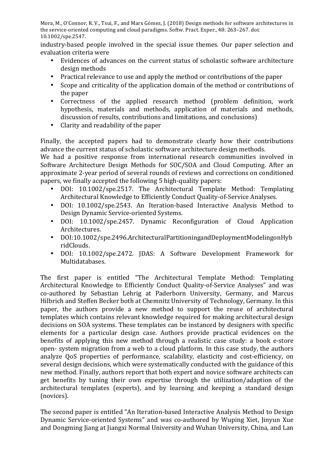industry-based people involved in the special issue themes. Our paper selection and evaluation criteria were

- Evidences of advances on the current status of scholastic software architecture design methods
- Practical relevance to use and apply the method or contributions of the paper
- Scope and criticality of the application domain of the method or contributions of the paper
- Correctness of the applied research method (problem definition, work hypothesis, materials and methods, application of materials and methods, discussion of results, contributions and limitations, and conclusions)
- Clarity and readability of the paper

Finally, the accepted papers had to demonstrate clearly how their contributions advance the current status of scholastic software architecture design methods.

We had a positive response from international research communities involved in Software Architecture Design Methods for SOC/SOA and Cloud Computing. After an approximate 2-year period of several rounds of reviews and corrections on conditioned papers, we finally accepted the following 5 high-quality papers:

- DOI: 10.1002/spe.2517. The Architectural Template Method: Templating Architectural Knowledge to Efficiently Conduct Quality-of-Service Analyses.
- DOI: 10.1002/spe.2543. An Iteration-based Interactive Analysis Method to Design Dynamic Service-oriented Systems.
- DOI: 10.1002/spe.2457. Dynamic Reconfiguration of Cloud Application Architectures.
- DOI:10.1002/spe.2496.ArchitecturalPartitioningandDeploymentModelingonHyb ridClouds.
- DOI: 10.1002/spe.2472. JDAS: A Software Development Framework for Multidatabases.

The first paper is entitled "The Architectural Template Method: Templating Architectural Knowledge to Efficiently Conduct Quality-of-Service Analyses" and was co-authored by Sebastian Lehrig at Paderborn University, Germany, and Marcus Hilbrich and Steffen Becker both at Chemnitz University of Technology, Germany. In this paper, the authors provide a new method to support the reuse of architectural templates which contains relevant knowledge required for making architectural design decisions on SOA systems. These templates can be instanced by designers with specific elements for a particular design case. Authors provide practical evidences on the benefits of applying this new method through a realistic case study: a book e-store open- system migration from a web to a cloud platform. In this case study, the authors analyze OoS properties of performance, scalability, elasticity and cost-efficiency, on several design decisions, which were systematically conducted with the guidance of this new method. Finally, authors report that both expert and novice software architects can get benefits by tuning their own expertise through the utilization/adaption of the architectural templates (experts), and by learning and keeping a standard design (novices).

The second paper is entitled "An Iteration-based Interactive Analysis Method to Design Dynamic Service-oriented Systems" and was co-authored by Wuping Xiet, Iinvun Xue and Dongming Jiang at Jiangxi Normal University and Wuhan University, China, and Lan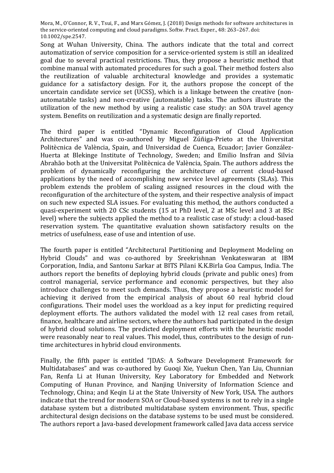Song at Wuhan University, China. The authors indicate that the total and correct automatization of service composition for a service-oriented system is still an idealized goal due to several practical restrictions. Thus, they propose a heuristic method that combine manual with automated procedures for such a goal. Their method fosters also the reutilization of valuable architectural knowledge and provides a systematic guidance for a satisfactory design. For it, the authors propose the concept of the uncertain candidate service set (UCSS), which is a linkage between the creative (nonautomatable tasks) and non-creative (automatable) tasks. The authors illustrate the utilization of the new method by using a realistic case study: an SOA travel agency system. Benefits on reutilization and a systematic design are finally reported.

The third paper is entitled "Dynamic Reconfiguration of Cloud Application Architectures" and was co-authored by Miguel Zúñiga-Prieto at the Universitat Politècnica de València, Spain, and Universidad de Cuenca, Ecuador; Javier González-Huerta at Blekinge Institute of Technology, Sweden; and Emilio Insfran and Silvia Abrahão both at the Universitat Politècnica de València, Spain. The authors address the problem of dynamically reconfiguring the architecture of current cloud-based applications by the need of accomplishing new service level agreements (SLAs). This problem extends the problem of scaling assigned resources in the cloud with the reconfiguration of the architecture of the system, and their respective analysis of impact on such new expected SLA issues. For evaluating this method, the authors conducted a quasi-experiment with 20 CSc students (15 at PhD level, 2 at MSc level and 3 at BSc level) where the subjects applied the method to a realistic case of study: a cloud-based reservation system. The quantitative evaluation shown satisfactory results on the metrics of usefulness, ease of use and intention of use.

The fourth paper is entitled "Architectural Partitioning and Deployment Modeling on Hybrid Clouds" and was co-authored by Sreekrishnan Venkateswaran at IBM Corporation, India, and Santonu Sarkar at BITS Pilani K.K.Birla Goa Campus, India. The authors report the benefits of deploying hybrid clouds (private and public ones) from control managerial, service performance and economic perspectives, but they also introduce challenges to meet such demands. Thus, they propose a heuristic model for achieving it derived from the empirical analysis of about 60 real hybrid cloud configurations. Their model uses the workload as a key input for predicting required deployment efforts. The authors validated the model with 12 real cases from retail, finance, healthcare and airline sectors, where the authors had participated in the design of hybrid cloud solutions. The predicted deployment efforts with the heuristic model were reasonably near to real values. This model, thus, contributes to the design of runtime architectures in hybrid cloud environments.

Finally, the fifth paper is entitled "IDAS: A Software Development Framework for Multidatabases" and was co-authored by Guogi Xie, Yuekun Chen, Yan Liu, Chunnian Fan, Renfa Li at Hunan University, Key Laboratory for Embedded and Network Computing of Hunan Province, and Nanjing University of Information Science and Technology, China; and Keqin Li at the State University of New York, USA. The authors indicate that the trend for modern SOA or Cloud-based systems is not to rely in a single database system but a distributed multidatabase system environment. Thus, specific architectural design decisions on the database systems to be used must be considered. The authors report a Java-based development framework called Java data access service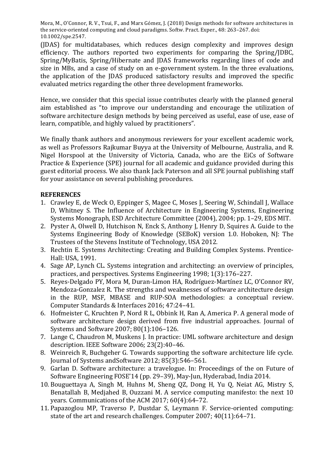(JDAS) for multidatabases, which reduces design complexity and improves design efficiency. The authors reported two experiments for comparing the Spring/JDBC, Spring/MyBatis, Spring/Hibernate and JDAS frameworks regarding lines of code and size in MBs, and a case of study on an e-government system. In the three evaluations, the application of the JDAS produced satisfactory results and improved the specific evaluated metrics regarding the other three development frameworks.

Hence, we consider that this special issue contributes clearly with the planned general aim established as "to improve our understanding and encourage the utilization of software architecture design methods by being perceived as useful, ease of use, ease of learn, compatible, and highly valued by practitioners".

We finally thank authors and anonymous reviewers for your excellent academic work, as well as Professors Rajkumar Buyya at the University of Melbourne, Australia, and R. Nigel Horspool at the University of Victoria, Canada, who are the EiCs of Software Practice & Experience (SPE) journal for all academic and guidance provided during this guest editorial process. We also thank lack Paterson and all SPE journal publishing staff for your assistance on several publishing procedures.

## **REFERENCES**

- 1. Crawley E, de Weck O, Eppinger S, Magee C, Moses J, Seering W, Schindall J, Wallace D, Whitney S. The Influence of Architecture in Engineering Systems, Engineering Systems Monograph, ESD Architecture Committee (2004), 2004; pp. 1–29, EDS MIT.
- 2. Pyster A, Olwell D, Hutchison N, Enck S, Anthony J, Henry D, Squires A. Guide to the Systems Engineering Body of Knowledge (SEBoK) version 1.0. Hoboken, NJ: The Trustees of the Stevens Institute of Technology, USA 2012.
- 3. Rechtin E. Systems Architecting: Creating and Building Complex Systems. Prentice-Hall: USA, 1991.
- 4. Sage AP, Lynch CL. Systems integration and architecting: an overview of principles, practices, and perspectives. Systems Engineering 1998; 1(3):176–227.
- 5. Reves-Delgado PY, Mora M, Duran-Limon HA, Rodríguez-Martínez LC, O'Connor RV, Mendoza-Gonzalez R. The strengths and weaknesses of software architecture design in the RUP, MSF, MBASE and RUP-SOA methodologies: a conceptual review. Computer Standards & Interfaces 2016; 47:24-41.
- 6. Hofmeister C, Kruchten P, Nord R L, Obbink H, Ran A, America P. A general mode of software architecture design derived from five industrial approaches. Journal of Systems and Software 2007; 80(1):106-126.
- 7. Lange C, Chaudron M, Muskens J. In practice: UML software architecture and design description. IEEE Software 2006; 23(2):40-46.
- 8. Weinreich R. Buchgeher G. Towards supporting the software architecture life cycle. Journal of Systems andSoftware 2012; 85(3):546–561.
- 9. Garlan D. Software architecture: a travelogue. In: Proceedings of the on Future of Software Engineering FOSE'14 (pp. 29-39), May-Jun, Hyderabad, India 2014.
- 10. Bouguettaya A, Singh M, Huhns M, Sheng OZ, Dong H, Yu O, Neiat AG, Mistry S, Benatallah B, Medjahed B, Ouzzani M. A service computing manifesto: the next 10 years. Communications of the ACM 2017;  $60(4):64-72$ .
- 11. Papazoglou MP, Traverso P, Dustdar S, Leymann F. Service-oriented computing: state of the art and research challenges. Computer 2007; 40(11):64–71.